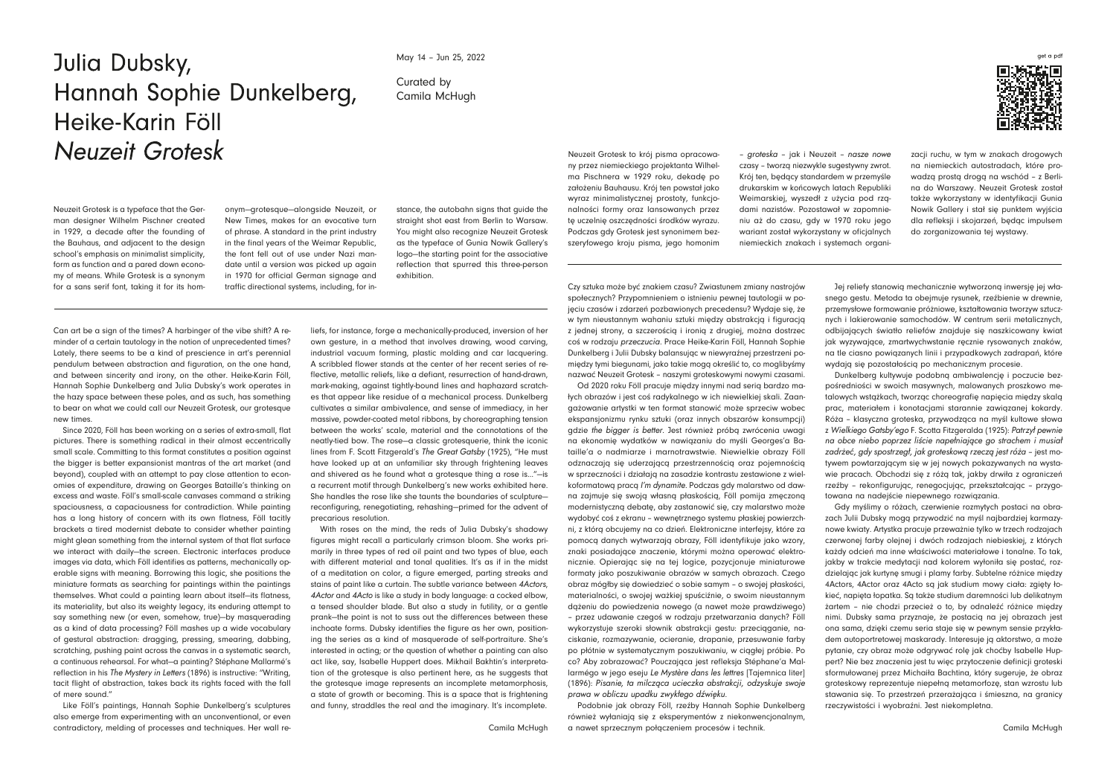## Curated by Camila McHugh

Can art be a sign of the times? A harbinger of the vibe shift? A reminder of a certain tautology in the notion of unprecedented times? Lately, there seems to be a kind of prescience in art's perennial pendulum between abstraction and figuration, on the one hand, and between sincerity and irony, on the other. Heike-Karin Föll, Hannah Sophie Dunkelberg and Julia Dubsky's work operates in the hazy space between these poles, and as such, has something to bear on what we could call our Neuzeit Grotesk, our grotesque new times.

Since 2020, Föll has been working on a series of extra-small, flat pictures. There is something radical in their almost eccentrically small scale. Committing to this format constitutes a position against the bigger is better expansionist mantras of the art market (and beyond), coupled with an attempt to pay close attention to economies of expenditure, drawing on Georges Bataille's thinking on excess and waste. Föll's small-scale canvases command a striking spaciousness, a capaciousness for contradiction. While painting has a long history of concern with its own flatness, Föll tacitly brackets a tired modernist debate to consider whether painting might glean something from the internal system of that flat surface we interact with daily—the screen. Electronic interfaces produce images via data, which Föll identifies as patterns, mechanically operable signs with meaning. Borrowing this logic, she positions the miniature formats as searching for paintings within the paintings themselves. What could a painting learn about itself—its flatness, its materiality, but also its weighty legacy, its enduring attempt to say something new (or even, somehow, true)—by masquerading as a kind of data processing? Föll mashes up a wide vocabulary of gestural abstraction: dragging, pressing, smearing, dabbing, scratching, pushing paint across the canvas in a systematic search, a continuous rehearsal. For what—a painting? Stéphane Mallarmé's reflection in his *The Mystery in Letters* (1896) is instructive: "Writing, tacit flight of abstraction, takes back its rights faced with the fall of mere sound."

Like Föll's paintings, Hannah Sophie Dunkelberg's sculptures also emerge from experimenting with an unconventional, or even contradictory, melding of processes and techniques. Her wall re-

Czy sztuka może być znakiem czasu? Zwiastunem zmiany nastrojów społecznych? Przypomnieniem o istnieniu pewnej tautologii w pojęciu czasów i zdarzeń pozbawionych precedensu? Wydaje się, że w tym nieustannym wahaniu sztuki między abstrakcją i figuracją z jednej strony, a szczerością i ironią z drugiej, można dostrzec coś w rodzaju *przeczucia*. Prace Heike-Karin Föll, Hannah Sophie Dunkelberg i Julii Dubsky balansując w niewyraźnej przestrzeni pomiędzy tymi biegunami, jako takie mogą określić to, co moglibyśmy nazwać Neuzeit Grotesk – naszymi groteskowymi nowymi czasami. Od 2020 roku Föll pracuje między innymi nad serią bardzo małych obrazów i jest coś radykalnego w ich niewielkiej skali. Zaangażowanie artystki w ten format stanowić może sprzeciw wobec ekspansjonizmu rynku sztuki (oraz innych obszarów konsumpcji) gdzie *the bigger is better*. Jest również próbą zwrócenia uwagi na ekonomię wydatków w nawiązaniu do myśli Georges'a Bataille'a o nadmiarze i marnotrawstwie. Niewielkie obrazy Föll odznaczają się uderzającą przestrzennością oraz pojemnością w sprzeczności i działają na zasadzie kontrastu zestawione z wielkoformatową pracą *I'm dynamite*. Podczas gdy malarstwo od dawna zajmuje się swoją własną płaskością, Föll pomija zmęczoną modernistyczną debatę, aby zastanowić się, czy malarstwo może wydobyć coś z ekranu – wewnętrznego systemu płaskiej powierzchni, z którą obcujemy na co dzień. Elektroniczne interfejsy, które za pomocą danych wytwarzają obrazy, Föll identyfikuje jako wzory, znaki posiadające znaczenie, którymi można operować elektronicznie. Opierając się na tej logice, pozycjonuje miniaturowe formaty jako poszukiwanie obrazów w samych obrazach. Czego obraz mógłby się dowiedzieć o sobie samym – o swojej płaskości, materialności, o swojej ważkiej spuściźnie, o swoim nieustannym dążeniu do powiedzenia nowego (a nawet może prawdziwego) – przez udawanie czegoś w rodzaju przetwarzania danych? Föll wykorzystuje szeroki słownik abstrakcji gestu: przeciąganie, naciskanie, rozmazywanie, ocieranie, drapanie, przesuwanie farby po płótnie w systematycznym poszukiwaniu, w ciągłej próbie. Po co? Aby zobrazować? Pouczająca jest refleksja Stéphane'a Mallarmégo w jego eseju *Le Mystère dans les lettres* [Tajemnica liter] (1896): *Pisanie, ta milcząca ucieczka abstrakcji, odzyskuje swoje prawa w obliczu upadku zwykłego dźwięku*.

Podobnie jak obrazy Föll, rzeźby Hannah Sophie Dunkelberg również wyłaniają się z eksperymentów z niekonwencjonalnym, a nawet sprzecznym połączeniem procesów i technik.

## get a pdf



liefs, for instance, forge a mechanically-produced, inversion of her own gesture, in a method that involves drawing, wood carving, industrial vacuum forming, plastic molding and car lacquering. A scribbled flower stands at the center of her recent series of reflective, metallic reliefs, like a defiant, resurrection of hand-drawn, mark-making, against tightly-bound lines and haphazard scratches that appear like residue of a mechanical process. Dunkelberg cultivates a similar ambivalence, and sense of immediacy, in her massive, powder-coated metal ribbons, by choreographing tension between the works' scale, material and the connotations of the neatly-tied bow. The rose—a classic grotesquerie, think the iconic lines from F. Scott Fitzgerald's *The Great Gatsby* (1925), "He must have looked up at an unfamiliar sky through frightening leaves and shivered as he found what a grotesque thing a rose is…"—is a recurrent motif through Dunkelberg's new works exhibited here. She handles the rose like she taunts the boundaries of sculpture reconfiguring, renegotiating, rehashing—primed for the advent of precarious resolution.

With roses on the mind, the reds of Julia Dubsky's shadowy figures might recall a particularly crimson bloom. She works primarily in three types of red oil paint and two types of blue, each with different material and tonal qualities. It's as if in the midst of a meditation on color, a figure emerged, parting streaks and stains of paint like a curtain. The subtle variance between *4Actors*, *4Actor* and *4Acto* is like a study in body language: a cocked elbow, a tensed shoulder blade. But also a study in futility, or a gentle prank—the point is not to suss out the differences between these inchoate forms. Dubsky identifies the figure as her own, positioning the series as a kind of masquerade of self-portraiture. She's interested in acting; or the question of whether a painting can also act like, say, Isabelle Huppert does. Mikhail Bakhtin's interpretation of the grotesque is also pertinent here, as he suggests that the grotesque image represents an incomplete metamorphosis, a state of growth or becoming. This is a space that is frightening and funny, straddles the real and the imaginary. It's incomplete.

Camila McHugh

Jej reliefy stanowią mechanicznie wytworzoną inwersję jej własnego gestu. Metoda ta obejmuje rysunek, rzeźbienie w drewnie, przemysłowe formowanie próżniowe, kształtowania tworzyw sztucznych i lakierowanie samochodów. W centrum serii metalicznych, odbijających światło reliefów znajduje się naszkicowany kwiat jak wyzywające, zmartwychwstanie ręcznie rysowanych znaków, na tle ciasno powiązanych linii i przypadkowych zadrapań, które wydają się pozostałością po mechanicznym procesie.

Dunkelberg kultywuje podobną ambiwalencję i poczucie bezpośredniości w swoich masywnych, malowanych proszkowo metalowych wstążkach, tworząc choreografię napięcia między skalą prac, materiałem i konotacjami starannie zawiązanej kokardy. Róża – klasyczna groteska, przywodząca na myśl kultowe słowa z *Wielkiego Gatsby'ego* F. Scotta Fitzgeralda (1925): *Patrzył pewnie na obce niebo poprzez liście napełniające go strachem i musiał zadrżeć, gdy spostrzegł, jak groteskową rzeczą jest róża* – jest motywem powtarzającym się w jej nowych pokazywanych na wystawie pracach. Obchodzi się z różą tak, jakby drwiła z ograniczeń rzeźby – rekonfigurując, renegocjując, przekształcając – przygotowana na nadejście niepewnego rozwiązania.

Gdy myślimy o różach, czerwienie rozmytych postaci na obrazach Julii Dubsky mogą przywodzić na myśl najbardziej karmazynowe kwiaty. Artystka pracuje przeważnie tylko w trzech rodzajach czerwonej farby olejnej i dwóch rodzajach niebieskiej, z których każdy odcień ma inne właściwości materiałowe i tonalne. To tak, jakby w trakcie medytacji nad kolorem wyłoniła się postać, rozdzielając jak kurtynę smugi i plamy farby. Subtelne różnice między 4Actors, 4Actor oraz 4Acto są jak studium mowy ciała: zgięty łokieć, napięta łopatka. Są także studium daremności lub delikatnym żartem – nie chodzi przecież o to, by odnaleźć różnice między nimi. Dubsky sama przyznaje, że postacią na jej obrazach jest ona sama, dzięki czemu seria staje się w pewnym sensie przykładem autoportretowej maskarady. Interesuje ją aktorstwo, a może pytanie, czy obraz może odgrywać rolę jak choćby Isabelle Huppert? Nie bez znaczenia jest tu więc przytoczenie definicji groteski sformułowanej przez Michaiła Bachtina, który sugeruje, że obraz groteskowy reprezentuje niepełną metamorfozę, stan wzrostu lub stawania się. To przestrzeń przerażająca i śmieszna, na granicy rzeczywistości i wyobraźni. Jest niekompletna.

Camila McHugh

## Julia Dubsky, Hannah Sophie Dunkelberg, Heike-Karin Föll Neuzeit Grotesk

Neuzeit Grotesk is a typeface that the German designer Wilhelm Pischner created in 1929, a decade after the founding of the Bauhaus, and adjacent to the design school's emphasis on minimalist simplicity, form as function and a pared down economy of means. While Grotesk is a synonym for a sans serif font, taking it for its homNeuzeit Grotesk to krój pisma opracowany przez niemieckiego projektanta Wilhelma Pischnera w 1929 roku, dekadę po założeniu Bauhausu. Krój ten powstał jako wyraz minimalistycznej prostoty, funkcjonalności formy oraz lansowanych przez tę uczelnię oszczędności środków wyrazu. Podczas gdy Grotesk jest synonimem bezszeryfowego kroju pisma, jego homonim

onym—grotesque—alongside Neuzeit, or New Times, makes for an evocative turn of phrase. A standard in the print industry in the final years of the Weimar Republic, the font fell out of use under Nazi mandate until a version was picked up again in 1970 for official German signage and traffic directional systems, including, for in-

– *groteska* – jak i Neuzeit – *nasze nowe*  czasy – tworzą niezwykle sugestywny zwrot. Krój ten, będący standardem w przemyśle drukarskim w końcowych latach Republiki Weimarskiej, wyszedł z użycia pod rządami nazistów. Pozostawał w zapomnieniu aż do czasu, gdy w 1970 roku jego wariant został wykorzystany w oficjalnych niemieckich znakach i systemach organi-

stance, the autobahn signs that guide the straight shot east from Berlin to Warsaw. You might also recognize Neuzeit Grotesk as the typeface of Gunia Nowik Gallery's logo—the starting point for the associative reflection that spurred this three-person exhibition.

zacji ruchu, w tym w znakach drogowych na niemieckich autostradach, które prowadzą prostą drogą na wschód – z Berlina do Warszawy. Neuzeit Grotesk został także wykorzystany w identyfikacji Gunia Nowik Gallery i stał się punktem wyjścia dla refleksji i skojarzeń, będąc impulsem do zorganizowania tej wystawy.